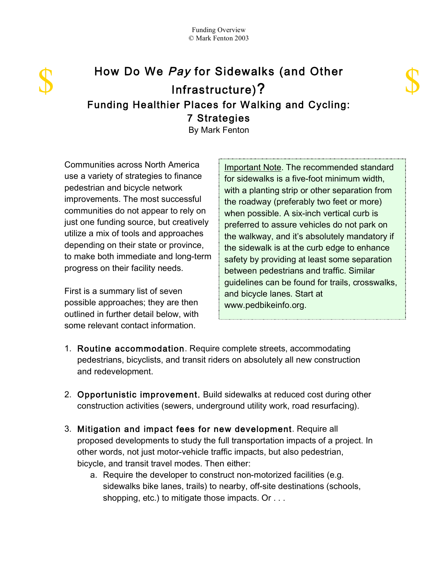

## How Do We Pay for Sidewalks (and Other Same Software School of School of School of School of School of School of School of School of School of School of School of School of School of School of School of School of School of Infrastructure)? Funding
Healthier
Places
for
Walking
and
Cycling: 7 Strategies

By
Mark
Fenton

Communities
across
North
America use
a
variety
of
strategies
to
finance pedestrian
and
bicycle
network improvements.
The
most
successful communities
do
not
appear
to
rely
on just
one
funding
source,
but
creatively utilize
a
mix
of
tools
and
approaches depending
on
their
state
or
province, to
make
both
immediate
and
long-term progress
on
their
facility
needs.

First
is
a
summary
list
of
seven possible
approaches;
they
are
then outlined
in
further
detail
below,
with some
relevant
contact
information.

Important
Note.
The
recommended
standard for
sidewalks
is
a
five-foot
minimum
width, with a planting strip or other separation from the
roadway
(preferably
two
feet
or
more) when possible. A six-inch vertical curb is preferred
to
assure
vehicles
do
not
park
on the
walkway,
and
it's
absolutely
mandatory
if the
sidewalk
is
at
the
curb
edge
to
enhance safety by providing at least some separation between
pedestrians
and
traffic.
Similar guidelines
can
be
found
for
trails,
crosswalks, and
bicycle
lanes.
Start
at www.pedbikeinfo.org.

- 1. Routine
accommodation.
Require
complete
streets,
accommodating pedestrians,
bicyclists,
and
transit
riders
on
absolutely
all
new
construction and
redevelopment.
- 2. Opportunistic improvement. Build sidewalks at reduced cost during other construction
activities
(sewers,
underground
utility
work,
road
resurfacing).
- 3. Mitigation and impact fees for new development. Require all proposed developments to study the full transportation impacts of a project. In other words, not just motor-vehicle traffic impacts, but also pedestrian, bicycle,
and
transit
travel
modes.
Then
either:
	- a. Require
	the
	developer
	to
	construct
	non-motorized
	facilities
	(e.g. sidewalks
	bike
	lanes,
	trails)
	to
	nearby,
	off-site
	destinations
	(schools, shopping, etc.) to mitigate those impacts. Or . . .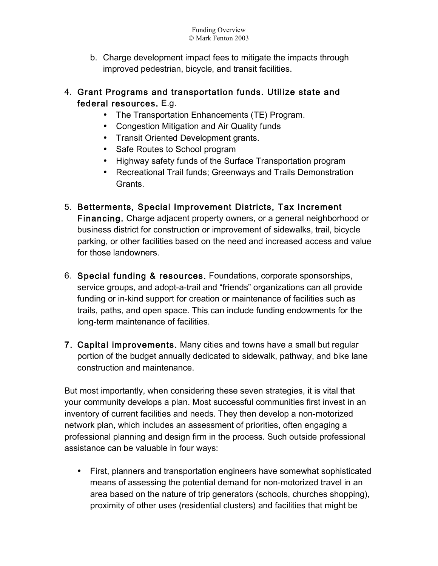- b. Charge
development
impact
fees
to
mitigate
the
impacts
through improved
pedestrian,
bicycle,
and
transit
facilities.
- 4. Grant Programs and transportation funds. Utilize state and federal resources. E.g.
	- The
	Transportation
	Enhancements
	(TE)
	Program.
	- Congestion Mitigation and Air Quality funds
	- Transit
	Oriented
	Development
	grants.
	- Safe Routes to School program
	- Highway safety funds of the Surface Transportation program
	- Recreational Trail funds; Greenways and Trails Demonstration Grants.
- 5. Betterments, Special Improvement Districts, Tax Increment Financing. Charge adjacent property owners, or a general neighborhood or business
district
for
construction
or
improvement
of
sidewalks,
trail,
bicycle parking, or other facilities based on the need and increased access and value for
those
landowners.
- 6. Special
funding
&
resou rces.
Foundations,
corporate
sponsorships, service
groups,
and
adopt-a-trail
and
"friends"
organizations
can
all
provide funding or in-kind support for creation or maintenance of facilities such as trails,
paths,
and
open
space.
This
can
include
funding
endowments
for
the long-term
maintenance
of
facilities.
- 7. Capital improvements. Many cities and towns have a small but regular portion
of
the
budget
annually
dedicated
to
sidewalk,
pathway,
and
bike
lane construction
and
maintenance.

But most importantly, when considering these seven strategies, it is vital that your community develops a plan. Most successful communities first invest in an inventory
of
current
facilities
and
needs.
They
then
develop
a
non-motorized network plan, which includes an assessment of priorities, often engaging a professional planning and design firm in the process. Such outside professional assistance
can
be
valuable
in
four
ways:

• First, planners and transportation engineers have somewhat sophisticated means of assessing the potential demand for non-motorized travel in an area
based
on
the
nature
of
trip
generators
(schools,
churches
shopping), proximity
of
other
uses
(residential
clusters)
and
facilities
that
might
be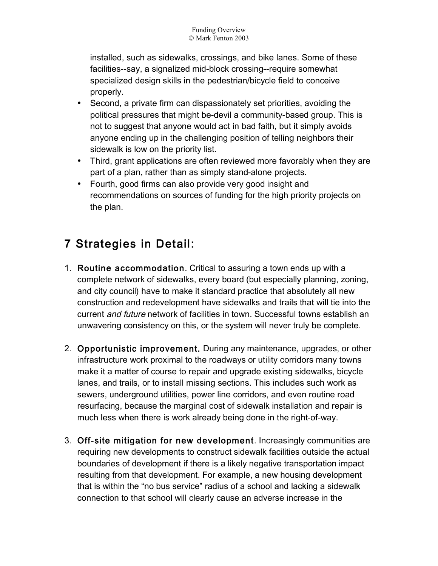installed, such as sidewalks, crossings, and bike lanes. Some of these facilities--say,
a
signalized
mid-block
crossing--require
somewhat specialized design skills in the pedestrian/bicycle field to conceive properly.

- Second, a private firm can dispassionately set priorities, avoiding the political
pressures
that
might
be-devil
a
community-based
group.
This
is not
to
suggest
that
anyone
would
act
in
bad
faith,
but
it
simply
avoids anyone ending up in the challenging position of telling neighbors their sidewalk is low on the priority list.
- Third, grant applications are often reviewed more favorably when they are part of a plan, rather than as simply stand-alone projects.
- Fourth, good firms can also provide very good insight and recommendations on sources of funding for the high priority projects on the
plan.

## 7 Strategies in Detail:

- 1. Routine accommodation. Critical to assuring a town ends up with a complete
network
of
sidewalks,
every
board
(but
especially
planning,
zoning, and
city
council)
have
to
make
it
standard
practice
that
absolutely
all
new construction
and
redevelopment
have
sidewalks
and
trails
that
will
tie
into
the current *and future* network of facilities in town. Successful towns establish an unwavering consistency on this, or the system will never truly be complete.
- 2. Opportunistic improvement. During any maintenance, upgrades, or other infrastructure
work
proximal
to
the
roadways
or
utility
corridors
many
towns make it a matter of course to repair and upgrade existing sidewalks, bicycle lanes, and trails, or to install missing sections. This includes such work as sewers, underground utilities, power line corridors, and even routine road resurfacing, because the marginal cost of sidewalk installation and repair is much less when there is work already being done in the right-of-way.
- 3. Off-site mitigation for new development. Increasingly communities are requiring
new
developments
to
construct
sidewalk
facilities
outside
the
actual boundaries
of
development
if
there
is
a
likely
negative
transportation
impact resulting
from
that
development.
For
example,
a
new
housing
development that
is
within
the
"no
bus
service"
radius
of
a
school
and
lacking
a
sidewalk connection to that school will clearly cause an adverse increase in the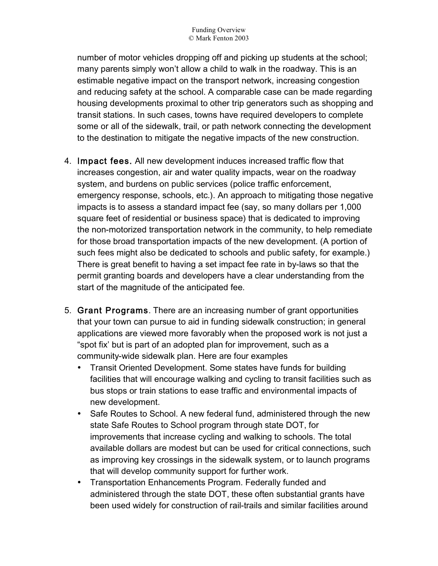number of motor vehicles dropping off and picking up students at the school; many parents simply won't allow a child to walk in the roadway. This is an estimable negative impact on the transport network, increasing congestion and
reducing
safety
at
the
school.
A
comparable
case
can
be
made
regarding housing developments proximal to other trip generators such as shopping and transit
stations.
In
such
cases,
towns
have
required
developers
to
complete some
or
all
of
the
sidewalk,
trail,
or
path
network
connecting
the
development to the destination to mitigate the negative impacts of the new construction.

- 4. Impact
fees.
All
new
development
induces
increased
traffic
flow
that increases congestion, air and water quality impacts, wear on the roadway system,
and
burdens
on
public
services
(police
traffic
enforcement, emergency response, schools, etc.). An approach to mitigating those negative impacts
is
to
assess
a
standard
impact
fee
(say,
so
many
dollars
per
1,000 square
feet
of
residential
or
business
space)
that
is
dedicated
to
improving the non-motorized transportation network in the community, to help remediate for
those
broad
transportation
impacts
of
the
new
development.
(A
portion
of such
fees
might
also
be
dedicated
to
schools
and
public
safety,
for
example.) There is great benefit to having a set impact fee rate in by-laws so that the permit
granting
boards
and
developers
have
a
clear
understanding
from
the start of the magnitude of the anticipated fee.
- 5. Grant Programs. There are an increasing number of grant opportunities that your town can pursue to aid in funding sidewalk construction; in general applications are viewed more favorably when the proposed work is not just a "spot fix' but is part of an adopted plan for improvement, such as a community-wide
sidewalk
plan.
Here
are
four
examples
	- Transit Oriented Development. Some states have funds for building facilities that will encourage walking and cycling to transit facilities such as bus stops or train stations to ease traffic and environmental impacts of new
	development.
	- Safe Routes to School. A new federal fund, administered through the new state Safe Routes to School program through state DOT, for improvements that increase cycling and walking to schools. The total available dollars are modest but can be used for critical connections, such as improving key crossings in the sidewalk system, or to launch programs that
	will
	develop
	community
	support
	for
	further
	work.
	- Transportation
	Enhancements
	Program.
	Federally
	funded
	and administered through the state DOT, these often substantial grants have been
	used
	widely
	for
	construction
	of
	rail-trails
	and
	similar
	facilities
	around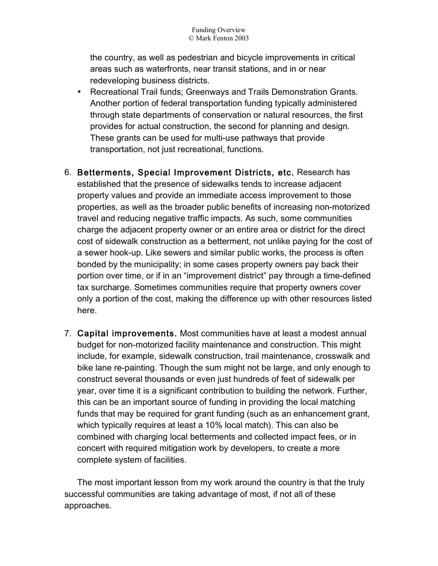the
country,
as
well
as
pedestrian
and
bicycle
improvements
in
critical areas
such
as
waterfronts,
near
transit
stations,
and
in
or
near redeveloping
business
districts.

- Recreational Trail funds; Greenways and Trails Demonstration Grants. Another
portion
of
federal
transportation
funding
typically
administered through
state
departments
of
conservation
or
natural
resources,
the
first provides
for
actual
construction,
the
second
for
planning
and
design. These
grants
can
be
used
for
multi-use
pathways
that
provide transportation,
not
just
recreational,
functions.
- 6. Betterments, Special Improvement Districts, etc. Research has established
that
the
presence
of
sidewalks
tends
to
increase
adjacent property values and provide an immediate access improvement to those properties, as well as the broader public benefits of increasing non-motorized travel and reducing negative traffic impacts. As such, some communities charge
the
adjacent
property
owner
or
an
entire
area
or
district
for
the
direct cost of sidewalk construction as a betterment, not unlike paying for the cost of a sewer hook-up. Like sewers and similar public works, the process is often bonded
by
the
municipality;
in
some
cases
property
owners
pay
back
their portion
over
time,
or
if
in
an
"improvement
district"
pay
through
a
time-defined tax surcharge. Sometimes communities require that property owners cover only a portion of the cost, making the difference up with other resources listed here.
- 7. Capital improvements. Most communities have at least a modest annual budget
for
non-motorized
facility
maintenance
and
construction.
This
might include,
for
example,
sidewalk
construction,
trail
maintenance,
crosswalk
and bike lane re-painting. Though the sum might not be large, and only enough to construct
several
thousands
or
even
just
hundreds
of
feet
of
sidewalk
per year,
over
time
it
is
a
significant
contribution
to
building
the
network.
Further, this
can
be
an
important
source
of
funding
in
providing
the
local
matching funds that may be required for grant funding (such as an enhancement grant, which typically requires at least a 10% local match). This can also be combined
with
charging
local
betterments
and
collected
impact
fees,
or
in concert
with
required
mitigation
work
by
developers,
to
create
a
more complete
system
of
facilities.

The most important lesson from my work around the country is that the truly successful communities are taking advantage of most, if not all of these approaches.